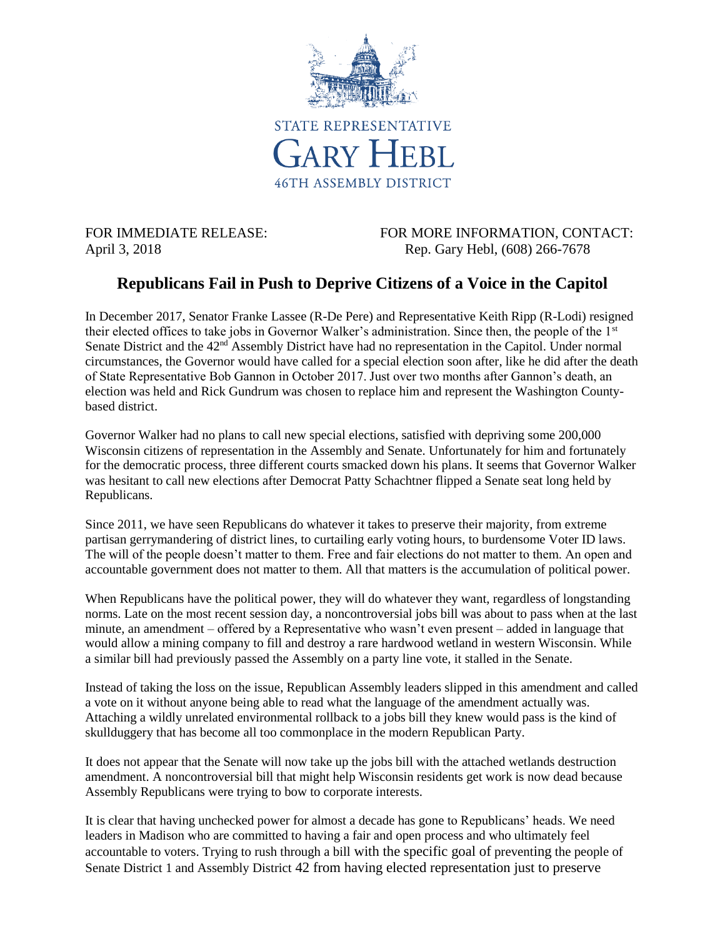

FOR IMMEDIATE RELEASE: FOR MORE INFORMATION, CONTACT: April 3, 2018 **Rep. Gary Hebl, (608) 266-7678** 

## **Republicans Fail in Push to Deprive Citizens of a Voice in the Capitol**

In December 2017, Senator Franke Lassee (R-De Pere) and Representative Keith Ripp (R-Lodi) resigned their elected offices to take jobs in Governor Walker's administration. Since then, the people of the 1st Senate District and the 42<sup>nd</sup> Assembly District have had no representation in the Capitol. Under normal circumstances, the Governor would have called for a special election soon after, like he did after the death of State Representative Bob Gannon in October 2017. Just over two months after Gannon's death, an election was held and Rick Gundrum was chosen to replace him and represent the Washington Countybased district.

Governor Walker had no plans to call new special elections, satisfied with depriving some 200,000 Wisconsin citizens of representation in the Assembly and Senate. Unfortunately for him and fortunately for the democratic process, three different courts smacked down his plans. It seems that Governor Walker was hesitant to call new elections after Democrat Patty Schachtner flipped a Senate seat long held by Republicans.

Since 2011, we have seen Republicans do whatever it takes to preserve their majority, from extreme partisan gerrymandering of district lines, to curtailing early voting hours, to burdensome Voter ID laws. The will of the people doesn't matter to them. Free and fair elections do not matter to them. An open and accountable government does not matter to them. All that matters is the accumulation of political power.

When Republicans have the political power, they will do whatever they want, regardless of longstanding norms. Late on the most recent session day, a noncontroversial jobs bill was about to pass when at the last minute, an amendment – offered by a Representative who wasn't even present – added in language that would allow a mining company to fill and destroy a rare hardwood wetland in western Wisconsin. While a similar bill had previously passed the Assembly on a party line vote, it stalled in the Senate.

Instead of taking the loss on the issue, Republican Assembly leaders slipped in this amendment and called a vote on it without anyone being able to read what the language of the amendment actually was. Attaching a wildly unrelated environmental rollback to a jobs bill they knew would pass is the kind of skullduggery that has become all too commonplace in the modern Republican Party.

It does not appear that the Senate will now take up the jobs bill with the attached wetlands destruction amendment. A noncontroversial bill that might help Wisconsin residents get work is now dead because Assembly Republicans were trying to bow to corporate interests.

It is clear that having unchecked power for almost a decade has gone to Republicans' heads. We need leaders in Madison who are committed to having a fair and open process and who ultimately feel accountable to voters. Trying to rush through a bill with the specific goal of preventing the people of Senate District 1 and Assembly District 42 from having elected representation just to preserve